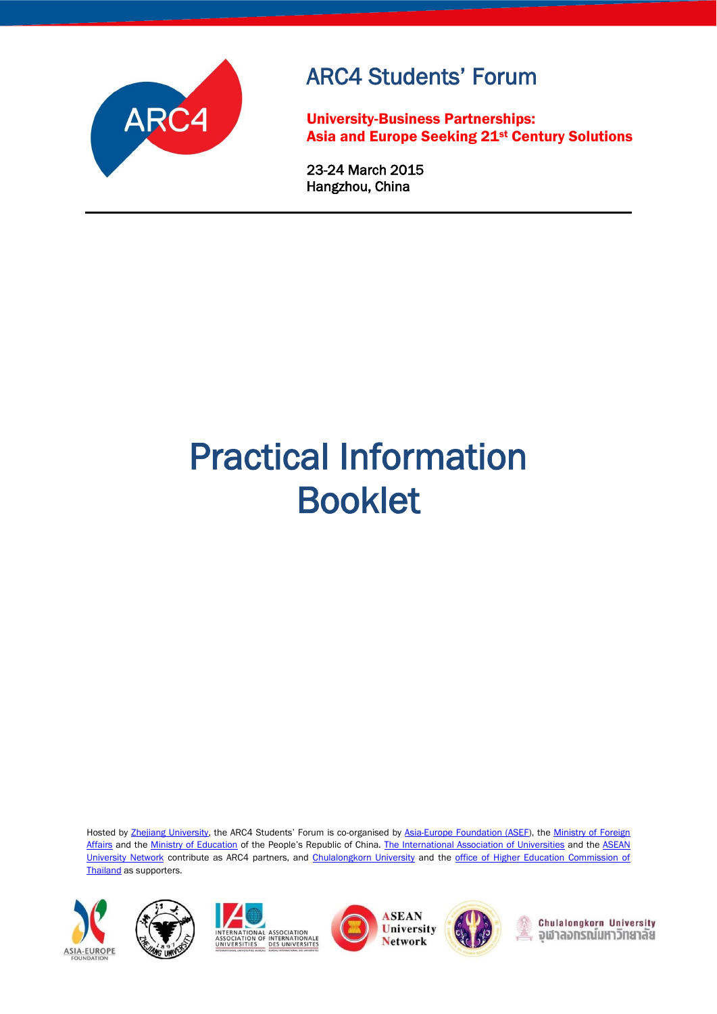

# ARC4 Students' Forum

University-Business Partnerships: Asia and Europe Seeking 21st Century Solutions

23-24 March 2015 Hangzhou, China

# Practical Information Booklet

Hosted by [Zhejiang University](http://www.zju.edu.cn/english/), the ARC4 Students' Forum is co-organised by [Asia-Europe Foundation \(ASEF\)](http://www.asef.org/), the Ministry of Foreign [Affairs](http://www.fmprc.gov.cn/mfa_eng/) and the [Ministry of Education](http://www.moe.edu.cn/publicfiles/business/htmlfiles/moe/moe_2792/) of the People's Republic of China. [The International Association of Universities](http://www.iau-aiu.net/content/leadher) and the [ASEAN](http://www.aunsec.org/)  [University Network](http://www.aunsec.org/) contribute as ARC4 partners, and [Chulalongkorn University](http://www.chula.ac.th/en/) and the office of Higher Education Commission of [Thailand](http://www.mua.go.th/) as supporters.











Chulalongkorn University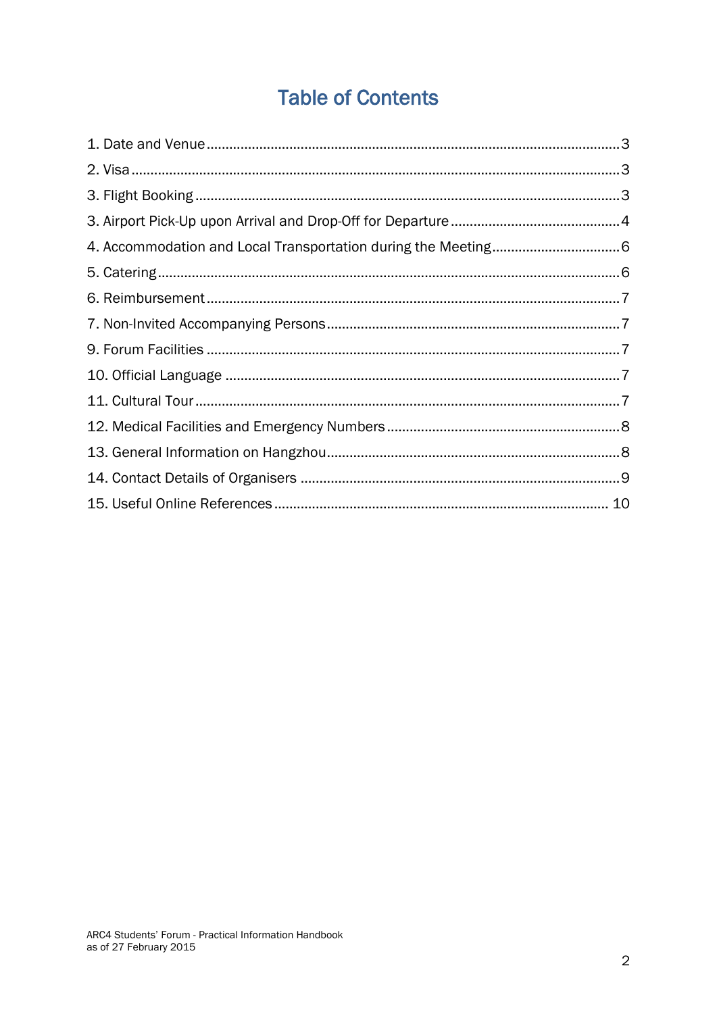## **Table of Contents**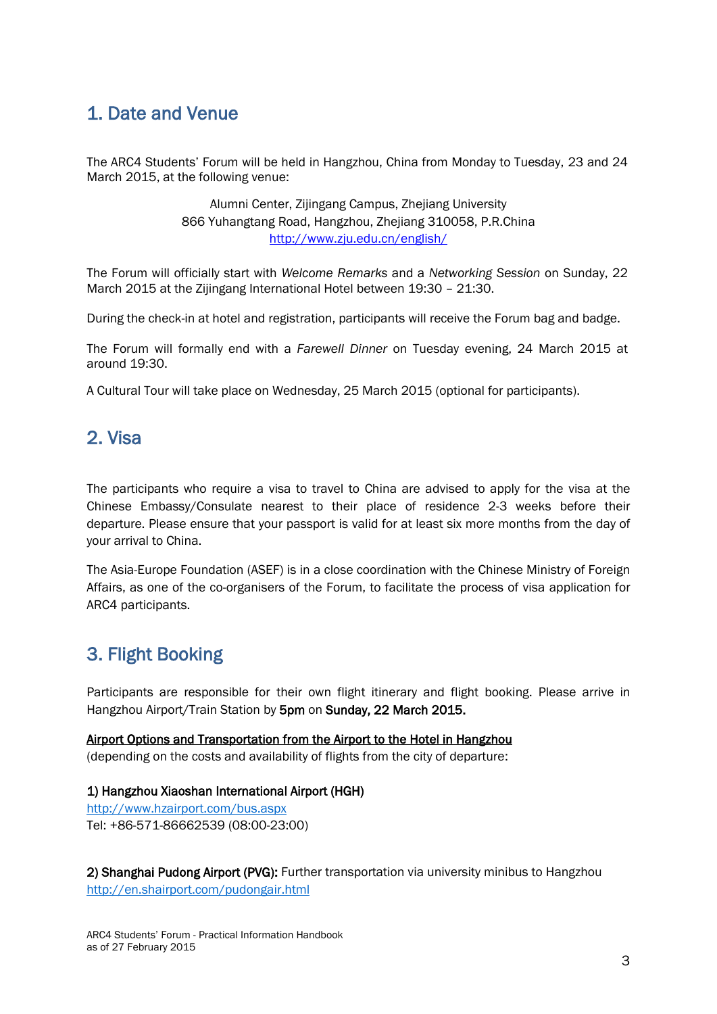## <span id="page-2-0"></span>1. Date and Venue

The ARC4 Students' Forum will be held in Hangzhou, China from Monday to Tuesday, 23 and 24 March 2015, at the following venue:

> Alumni Center, Zijingang Campus, Zhejiang University 866 Yuhangtang Road, Hangzhou, Zhejiang 310058, P.R.China <http://www.zju.edu.cn/english/>

The Forum will officially start with *Welcome Remarks* and a *Networking Session* on Sunday, 22 March 2015 at the Zijingang International Hotel between 19:30 – 21:30.

During the check-in at hotel and registration, participants will receive the Forum bag and badge.

The Forum will formally end with a *Farewell Dinner* on Tuesday evening, 24 March 2015 at around 19:30.

A Cultural Tour will take place on Wednesday, 25 March 2015 (optional for participants).

## <span id="page-2-1"></span>2. Visa

The participants who require a visa to travel to China are advised to apply for the visa at the Chinese Embassy/Consulate nearest to their place of residence 2-3 weeks before their departure. Please ensure that your passport is valid for at least six more months from the day of your arrival to China.

The Asia-Europe Foundation (ASEF) is in a close coordination with the Chinese Ministry of Foreign Affairs, as one of the co-organisers of the Forum, to facilitate the process of visa application for ARC4 participants.

## <span id="page-2-2"></span>3. Flight Booking

Participants are responsible for their own flight itinerary and flight booking. Please arrive in Hangzhou Airport/Train Station by 5pm on Sunday, 22 March 2015.

Airport Options and Transportation from the Airport to the Hotel in Hangzhou

(depending on the costs and availability of flights from the city of departure:

1) Hangzhou Xiaoshan International Airport (HGH) <http://www.hzairport.com/bus.aspx> Tel: +86-571-86662539 (08:00-23:00)

2) Shanghai Pudong Airport (PVG): Further transportation via university minibus to Hangzhou <http://en.shairport.com/pudongair.html>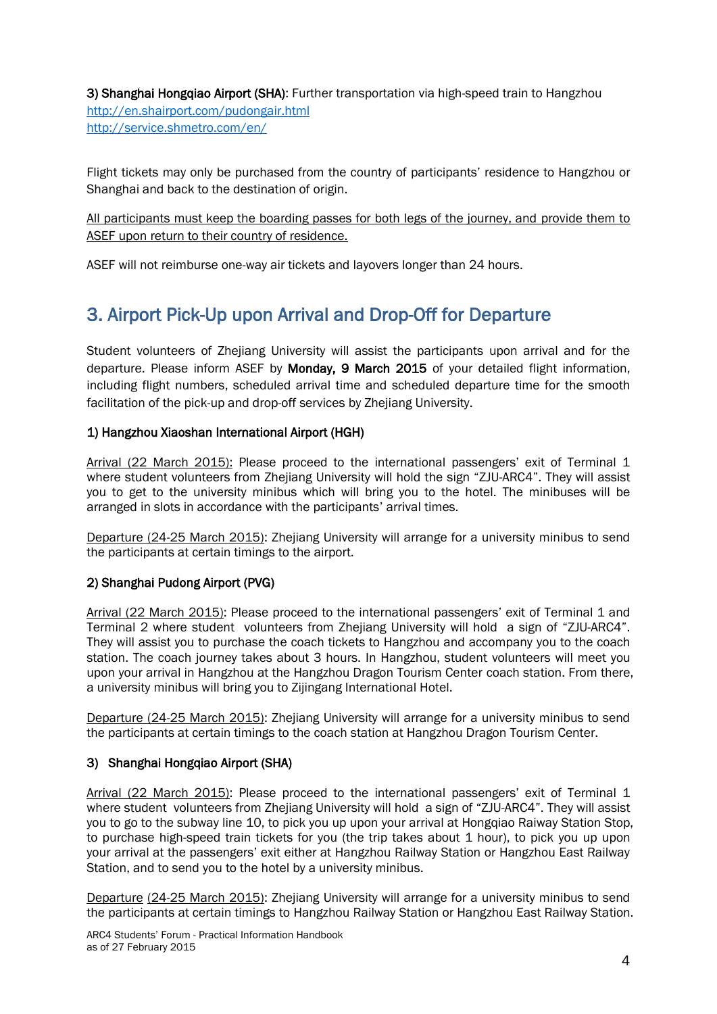3) Shanghai Hongqiao Airport (SHA): Further transportation via high-speed train to Hangzhou <http://en.shairport.com/pudongair.html> <http://service.shmetro.com/en/>

Flight tickets may only be purchased from the country of participants' residence to Hangzhou or Shanghai and back to the destination of origin.

All participants must keep the boarding passes for both legs of the journey, and provide them to ASEF upon return to their country of residence.

ASEF will not reimburse one-way air tickets and layovers longer than 24 hours.

## <span id="page-3-0"></span>3. Airport Pick-Up upon Arrival and Drop-Off for Departure

Student volunteers of Zhejiang University will assist the participants upon arrival and for the departure. Please inform ASEF by Monday, 9 March 2015 of your detailed flight information, including flight numbers, scheduled arrival time and scheduled departure time for the smooth facilitation of the pick-up and drop-off services by Zhejiang University.

#### 1) Hangzhou Xiaoshan International Airport (HGH)

Arrival (22 March 2015): Please proceed to the international passengers' exit of Terminal 1 where student volunteers from Zhejiang University will hold the sign "ZJU-ARC4". They will assist you to get to the university minibus which will bring you to the hotel. The minibuses will be arranged in slots in accordance with the participants' arrival times.

Departure (24-25 March 2015): Zhejiang University will arrange for a university minibus to send the participants at certain timings to the airport.

#### 2) Shanghai Pudong Airport (PVG)

Arrival (22 March 2015): Please proceed to the international passengers' exit of Terminal 1 and Terminal 2 where student volunteers from Zhejiang University will hold a sign of "ZJU-ARC4". They will assist you to purchase the coach tickets to Hangzhou and accompany you to the coach station. The coach journey takes about 3 hours. In Hangzhou, student volunteers will meet you upon your arrival in Hangzhou at the Hangzhou Dragon Tourism Center coach station. From there, a university minibus will bring you to Zijingang International Hotel.

Departure (24-25 March 2015): Zhejiang University will arrange for a university minibus to send the participants at certain timings to the coach station at Hangzhou Dragon Tourism Center.

#### 3) Shanghai Hongqiao Airport (SHA)

Arrival (22 March 2015): Please proceed to the international passengers' exit of Terminal 1 where student volunteers from Zhejiang University will hold a sign of "ZJU-ARC4". They will assist you to go to the subway line 10, to pick you up upon your arrival at Hongqiao Raiway Station Stop, to purchase high-speed train tickets for you (the trip takes about 1 hour), to pick you up upon your arrival at the passengers' exit either at Hangzhou Railway Station or Hangzhou East Railway Station, and to send you to the hotel by a university minibus.

Departure (24-25 March 2015): Zhejiang University will arrange for a university minibus to send the participants at certain timings to Hangzhou Railway Station or Hangzhou East Railway Station.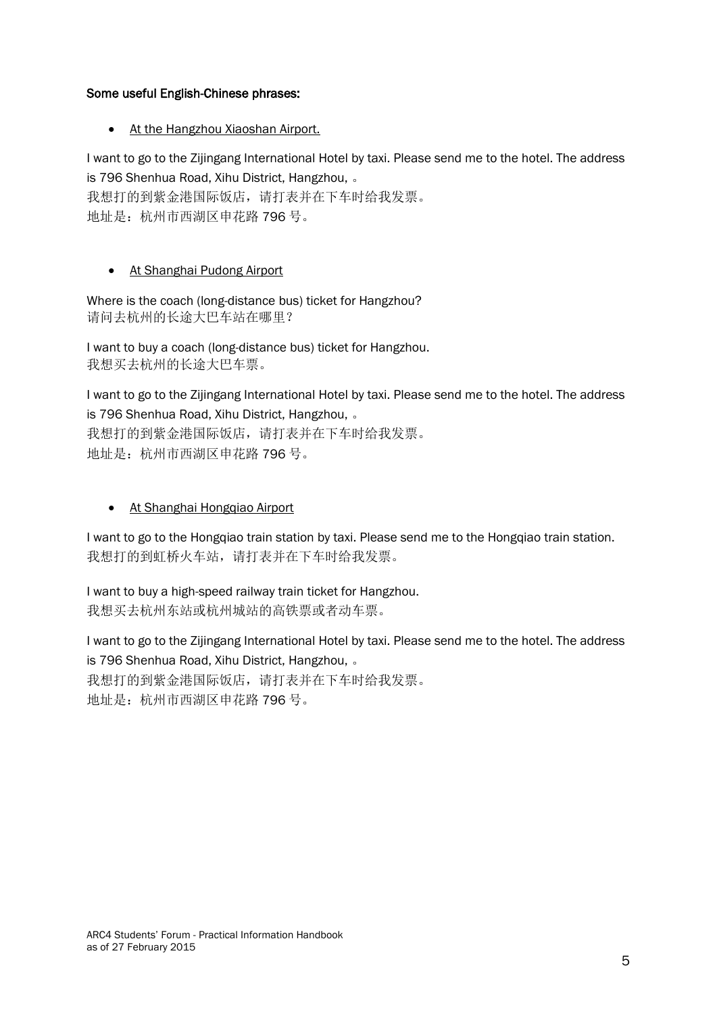#### Some useful English-Chinese phrases:

• At the Hangzhou Xiaoshan Airport.

I want to go to the Zijingang International Hotel by taxi. Please send me to the hotel. The address is 796 Shenhua Road, Xihu District, Hangzhou, 。 我想打的到紫金港国际饭店,请打表并在下车时给我发票。

地址是:杭州市西湖区申花路 796 号。

#### At Shanghai Pudong Airport

Where is the coach (long-distance bus) ticket for Hangzhou? 请问去杭州的长途大巴车站在哪里?

I want to buy a coach (long-distance bus) ticket for Hangzhou. 我想买去杭州的长途大巴车票。

I want to go to the Zijingang International Hotel by taxi. Please send me to the hotel. The address is 796 Shenhua Road, Xihu District, Hangzhou, 。 我想打的到紫金港国际饭店,请打表并在下车时给我发票。 地址是:杭州市西湖区申花路 796 号。

#### At Shanghai Hongqiao Airport

I want to go to the Hongqiao train station by taxi. Please send me to the Hongqiao train station. 我想打的到虹桥火车站,请打表并在下车时给我发票。

I want to buy a high-speed railway train ticket for Hangzhou. 我想买去杭州东站或杭州城站的高铁票或者动车票。

I want to go to the Zijingang International Hotel by taxi. Please send me to the hotel. The address is 796 Shenhua Road, Xihu District, Hangzhou, 。 我想打的到紫金港国际饭店,请打表并在下车时给我发票。 地址是:杭州市西湖区申花路 796 号。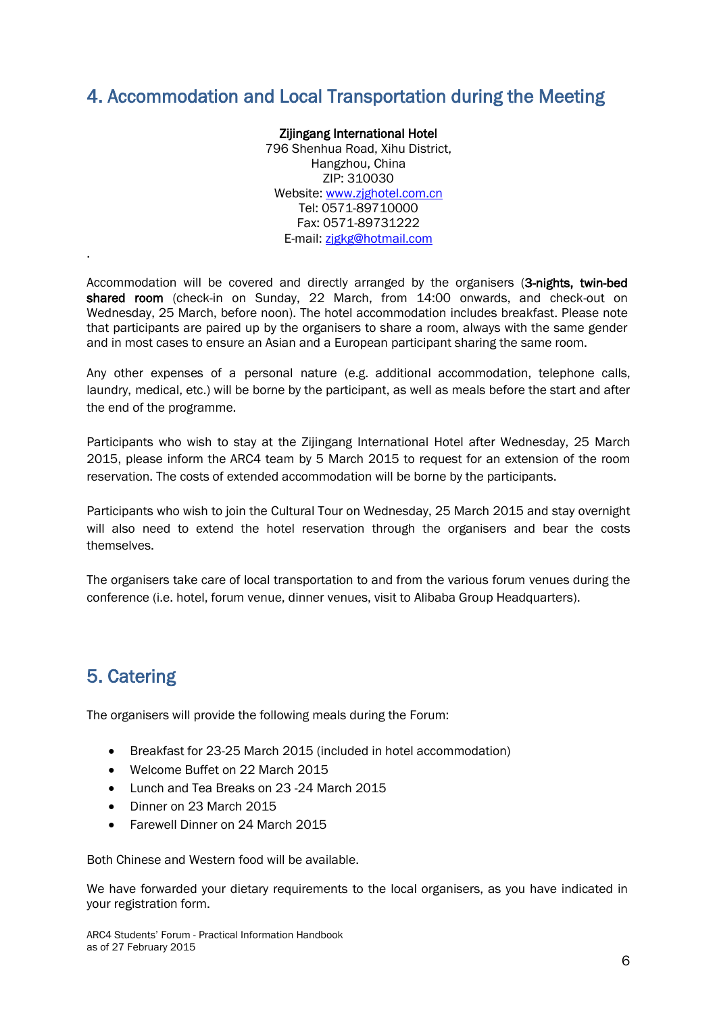## <span id="page-5-0"></span>4. Accommodation and Local Transportation during the Meeting

#### Zijingang International Hotel

796 Shenhua Road, Xihu District, Hangzhou, China ZIP: 310030 Website: [www.zjghotel.com.cn](http://www.zjghotel.com.cn/) Tel: 0571-89710000 Fax: 0571-89731222 E-mail: [zjgkg@hotmail.com](mailto:zjgkg@hotmail.com)

Accommodation will be covered and directly arranged by the organisers (3-nights, twin-bed shared room (check-in on Sunday, 22 March, from 14:00 onwards, and check-out on Wednesday, 25 March, before noon). The hotel accommodation includes breakfast. Please note that participants are paired up by the organisers to share a room, always with the same gender and in most cases to ensure an Asian and a European participant sharing the same room.

Any other expenses of a personal nature (e.g. additional accommodation, telephone calls, laundry, medical, etc.) will be borne by the participant, as well as meals before the start and after the end of the programme.

Participants who wish to stay at the Zijingang International Hotel after Wednesday, 25 March 2015, please inform the ARC4 team by 5 March 2015 to request for an extension of the room reservation. The costs of extended accommodation will be borne by the participants.

Participants who wish to join the Cultural Tour on Wednesday, 25 March 2015 and stay overnight will also need to extend the hotel reservation through the organisers and bear the costs themselves.

The organisers take care of local transportation to and from the various forum venues during the conference (i.e. hotel, forum venue, dinner venues, visit to Alibaba Group Headquarters).

## <span id="page-5-1"></span>5. Catering

.

The organisers will provide the following meals during the Forum:

- Breakfast for 23-25 March 2015 (included in hotel accommodation)
- Welcome Buffet on 22 March 2015
- **.** Lunch and Tea Breaks on 23-24 March 2015
- Dinner on 23 March 2015
- Farewell Dinner on 24 March 2015

Both Chinese and Western food will be available.

We have forwarded your dietary requirements to the local organisers, as you have indicated in your registration form.

ARC4 Students' Forum - Practical Information Handbook as of 27 February 2015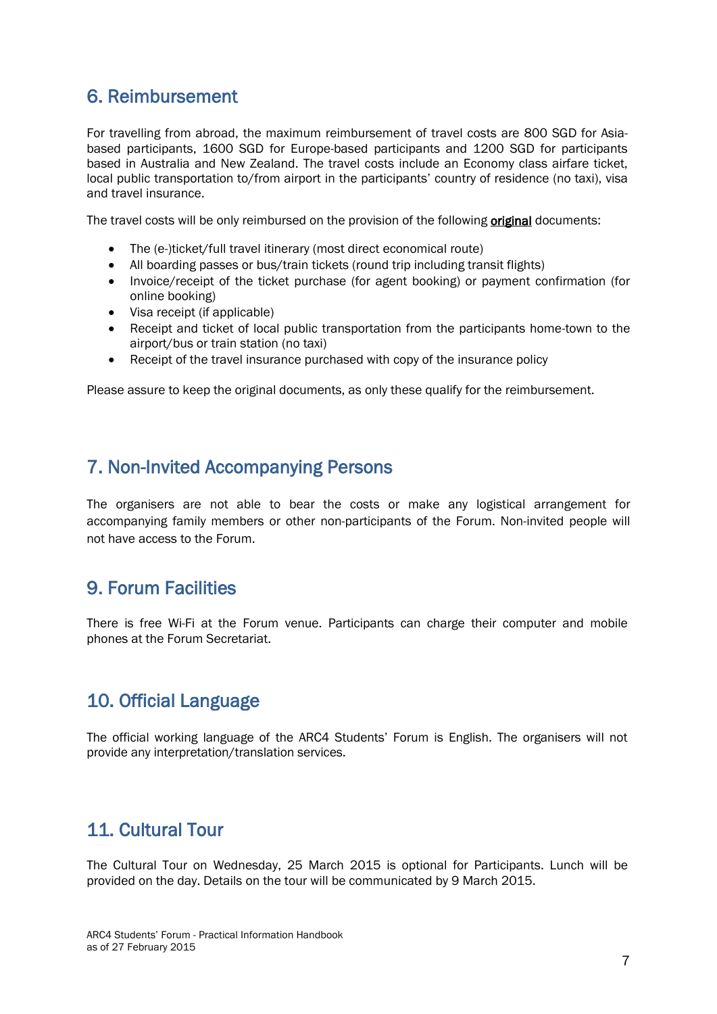## <span id="page-6-0"></span>6. Reimbursement

For travelling from abroad, the maximum reimbursement of travel costs are 800 SGD for Asiabased participants, 1600 SGD for Europe-based participants and 1200 SGD for participants based in Australia and New Zealand. The travel costs include an Economy class airfare ticket, local public transportation to/from airport in the participants' country of residence (no taxi), visa and travel insurance.

The travel costs will be only reimbursed on the provision of the following original documents:

- The (e-)ticket/full travel itinerary (most direct economical route)
- All boarding passes or bus/train tickets (round trip including transit flights)
- Invoice/receipt of the ticket purchase (for agent booking) or payment confirmation (for online booking)
- Visa receipt (if applicable)
- Receipt and ticket of local public transportation from the participants home-town to the airport/bus or train station (no taxi)
- Receipt of the travel insurance purchased with copy of the insurance policy

Please assure to keep the original documents, as only these qualify for the reimbursement.

## <span id="page-6-1"></span>7. Non-Invited Accompanying Persons

The organisers are not able to bear the costs or make any logistical arrangement for accompanying family members or other non-participants of the Forum. Non-invited people will not have access to the Forum.

## <span id="page-6-2"></span>9. Forum Facilities

There is free Wi-Fi at the Forum venue. Participants can charge their computer and mobile phones at the Forum Secretariat.

## <span id="page-6-3"></span>10. Official Language

The official working language of the ARC4 Students' Forum is English. The organisers will not provide any interpretation/translation services.

## <span id="page-6-4"></span>11. Cultural Tour

The Cultural Tour on Wednesday, 25 March 2015 is optional for Participants. Lunch will be provided on the day. Details on the tour will be communicated by 9 March 2015.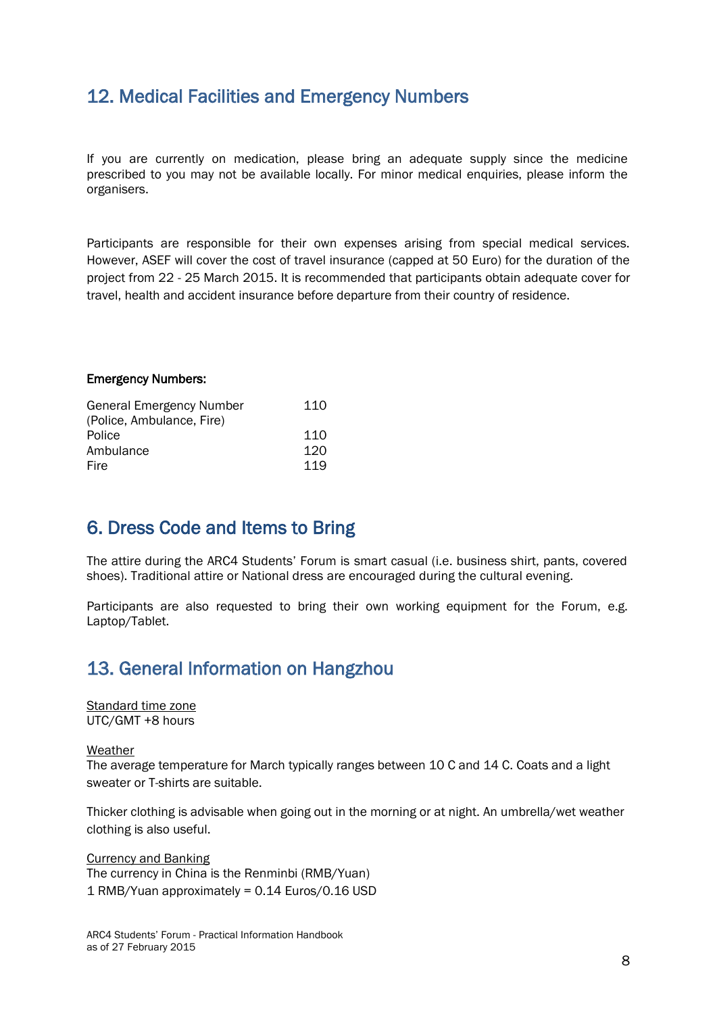## <span id="page-7-0"></span>12. Medical Facilities and Emergency Numbers

If you are currently on medication, please bring an adequate supply since the medicine prescribed to you may not be available locally. For minor medical enquiries, please inform the organisers.

Participants are responsible for their own expenses arising from special medical services. However, ASEF will cover the cost of travel insurance (capped at 50 Euro) for the duration of the project from 22 - 25 March 2015. It is recommended that participants obtain adequate cover for travel, health and accident insurance before departure from their country of residence.

#### Emergency Numbers:

| <b>General Emergency Number</b> | 110 |
|---------------------------------|-----|
| (Police, Ambulance, Fire)       |     |
| Police                          | 110 |
| Ambulance<br>Fire               | 120 |
|                                 | 119 |

## 6. Dress Code and Items to Bring

The attire during the ARC4 Students' Forum is smart casual (i.e. business shirt, pants, covered shoes). Traditional attire or National dress are encouraged during the cultural evening.

Participants are also requested to bring their own working equipment for the Forum, e.g. Laptop/Tablet.

## <span id="page-7-1"></span>13. General Information on Hangzhou

Standard time zone UTC/GMT +8 hours

#### Weather

The average temperature for March typically ranges between 10 C and 14 C. Coats and a light sweater or T-shirts are suitable.

Thicker clothing is advisable when going out in the morning or at night. An umbrella/wet weather clothing is also useful.

Currency and Banking The currency in China is the Renminbi (RMB/Yuan) 1 RMB/Yuan approximately = 0.14 Euros/0.16 USD

ARC4 Students' Forum - Practical Information Handbook as of 27 February 2015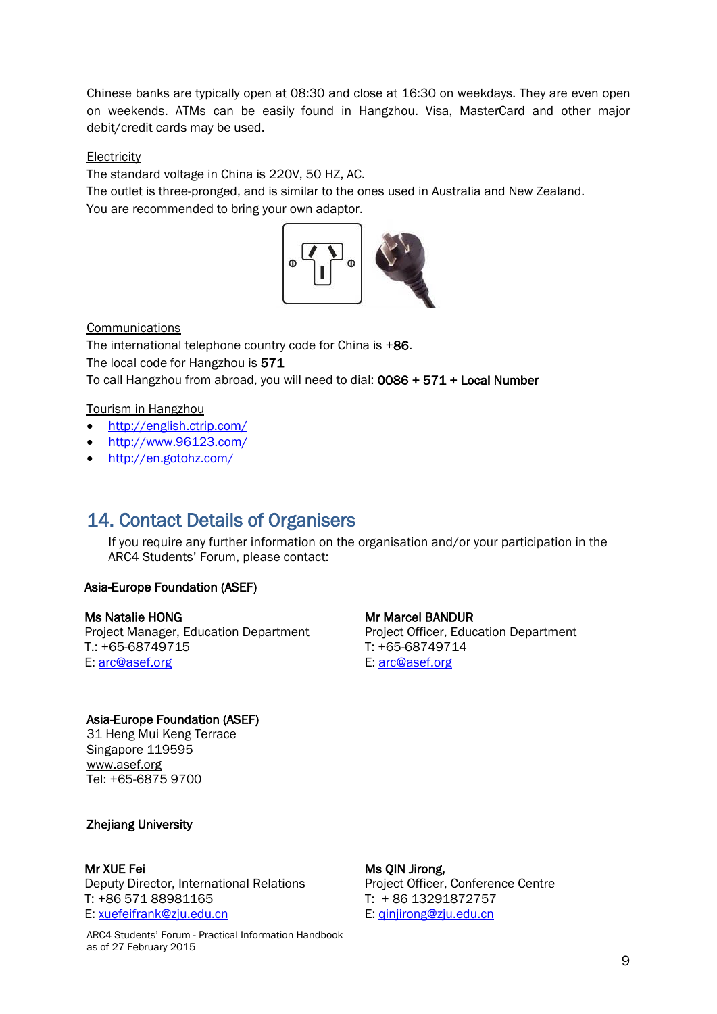Chinese banks are typically open at 08:30 and close at 16:30 on weekdays. They are even open on weekends. ATMs can be easily found in Hangzhou. Visa, MasterCard and other major debit/credit cards may be used.

**Electricity** 

The standard voltage in China is 220V, 50 HZ, AC.

The outlet is three-pronged, and is similar to the ones used in Australia and New Zealand. You are recommended to bring your own adaptor.



Communications

The international telephone country code for China is +86. The local code for Hangzhou is 571 To call Hangzhou from abroad, you will need to dial: 0086 + 571 + Local Number

Tourism in Hangzhou

- <http://english.ctrip.com/>
- <http://www.96123.com/>
- <http://en.gotohz.com/>

## <span id="page-8-0"></span>14. Contact Details of Organisers

If you require any further information on the organisation and/or your participation in the ARC4 Students' Forum, please contact:

#### Asia-Europe Foundation (ASEF)

Ms Natalie HONG

Project Manager, Education Department T.: +65-68749715 E: [arc@asef.org](mailto:arc@asef.org)

#### Mr Marcel BANDUR

Project Officer, Education Department T: +65-68749714 E: [arc@asef.org](mailto:arc@asef.org)

#### Asia-Europe Foundation (ASEF)

31 Heng Mui Keng Terrace Singapore 119595 [www.asef.org](http://www.asef.org/) Tel: +65-6875 9700

#### Zhejiang University

#### Mr XUE Fei

Deputy Director, International Relations T: +86 571 88981165 E: [xuefeifrank@zju.edu.cn](mailto:xuefeifrank@zju.edu.cn)

ARC4 Students' Forum - Practical Information Handbook as of 27 February 2015

#### Ms QIN Jirong,

Project Officer, Conference Centre T: + 86 13291872757 E: [qinjirong@zju.edu.cn](mailto:qinjirong@zju.edu.cn)